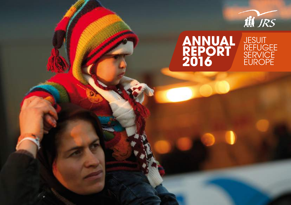

#### **JESUIT** Refugee **SERVICE EUROPE Annual Report 2016**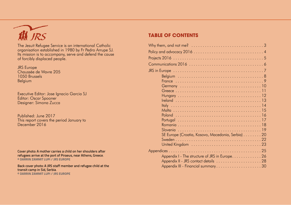# THE JRS

The Jesuit Refugee Service is an international Catholic organisation established in 1980 by Fr Pedro Arrupe SJ. Its mission is to accompany, serve and defend the cause of forcibly displaced people.

JRS Europe Chaussée de Wavre 205 1050 Brussels Belgium

Executive Editor: Jose Ignacio Garcia SJ Editor: Oscar Spooner Designer: Simona Zucca

Published: June 2017 This report covers the period January to December 2016

Cover photo: A mother carries a child on her shoulders after refugees arrive at the port of Piraeus, near Athens, Greece. **© Darrin Zammit Lupi / JRS Europe**

Back cover photo: A JRS staff member and refugee child at the transit camp in Sid, Serbia. **© Darrin Zammit Lupi / JRS Europe**

### **table of contents**

| Why them, and not me? $\ldots \ldots \ldots \ldots \ldots \ldots \ldots \ldots \ldots \ldots \ldots 3$ |
|--------------------------------------------------------------------------------------------------------|
|                                                                                                        |
|                                                                                                        |
|                                                                                                        |
|                                                                                                        |
|                                                                                                        |
|                                                                                                        |
|                                                                                                        |
|                                                                                                        |
|                                                                                                        |
|                                                                                                        |
|                                                                                                        |
|                                                                                                        |
|                                                                                                        |
|                                                                                                        |
|                                                                                                        |
| SE Europe (Croatia, Kosovo, Macedonia, Serbia) 20                                                      |
|                                                                                                        |
|                                                                                                        |
|                                                                                                        |
| Appendix I - The structure of JRS in Europe 26                                                         |
|                                                                                                        |
|                                                                                                        |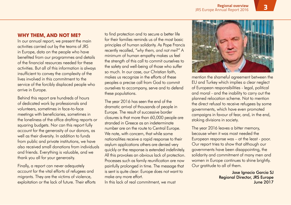### **Why them, and not me?**

In our annual report, we present the main activities carried out by the teams of JRS in Europe, data on the people who have benefited from our programmes and details of the financial resources needed for these activities. But all of this information is always insufficient to convey the complexity of the lives involved in this commitment to the service of the forcibly displaced people who arrive in Europe.

Behind this report are hundreds of hours of dedicated work by professionals and volunteers, sometimes in face-to-face meetings with beneficiaries, sometimes in the loneliness of the office drafting reports or squaring budgets. Nor can this report fully account for the generosity of our donors, as well as their diversity. In addition to funds from public and private institutions, we have also received small donations from individuals and friends. Everything is valuable, and we thank you all for your generosity.

Finally, a report can never adequately account for the vital efforts of refugees and migrants. They are the victims of violence, exploitation or the lack of future. Their efforts to find protection and to secure a better life for their families reminds us of the most basic principles of human solidarity. As Pope Francis recently recalled, *"why them, and not me?"* A minimum of human empathy makes us feel the strength of this call to commit ourselves to the safety and well-being of those who suffer so much. In our case, our Christian faith, makes us recognize in the efforts of these peoples a precise call from God to commit ourselves to accompany, serve and to defend these populations.

The year 2016 has seen the end of the dramatic arrival of thousands of people in Europe. The result of successive border closures is that more than 60,000 people are stranded in Greece as an indeterminate number are on the route to Central Europe. We note, with concern, that while some nationalities receive a rapid response to their asylum applications others are denied very quickly or the response is extended indefinitely. All this provokes an obvious lack of protection. Processes such as family reunification are now painfully prolonged in time. The message that is sent is quite clear: Europe does not want to make any more effort.

In this lack of real commitment, we must



mention the shameful agreement between the EU and Turkey which implies a clear neglect of European responsibilities - legal, political and moral - and the inability to carry out the planned relocation scheme. Not to mention the direct refusal to receive refugees by some governments, which have even promoted campaigns in favour of fear, and, in the end, stoking divisions in society.

The year 2016 leaves a bitter memory, because when it was most needed the European response was – at the least - poor. Our report tries to show that although our governments have been disappointing, the solidarity and commitment of many men and women in Europe continues to shine brightly. Our gratitude to all of them.

> Jose Ignacio Garcia SJ Regional Director, JRS Europe June 2017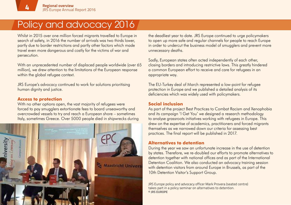### Policy and advocacy 2016

Whilst in 2015 over one million forced migrants travelled to Europe in search of safety, in 2016 the number of arrivals was two thirds lower, partly due to border restrictions and partly other factors which made travel even more dangerous and costly for the victims of war and persecution.

With an unprecedented number of displaced people worldwide (over 65 million), we drew attention to the limitations of the European response within the global refugee context.

JRS Europe's advocacy continued to work for solutions prioritising human dignity and justice.

#### **Access to protection**

With no other options open, the vast majority of refugees were forced to pay smugglers extortionate fees to board unseaworthy and overcrowded vessels to try and reach a European shore – sometimes Italy, sometimes Greece. Over 5000 people died in shipwrecks during



the deadliest year to date. JRS Europe continued to urge policymakers to open up more safe and regular channels for people to reach Europe in order to undercut the business model of smugglers and prevent more unnecessary deaths.

Sadly, European states often acted independently of each other, closing borders and introducing restrictive laws. This greatly hindered a common European effort to receive and care for refugees in an appropriate way.

The EU-Turkey deal of March represented a low-point for refugee protection in Europe and we published a detailed analysis of its deficiencies which was widely used with policymakers.

#### **Social inclusion**

As part of the project Best Practices to Combat Racism and Xenophobia and its campaign 'I Get You' we designed a research methodology to analyse grassroots initiatives working with refugees in Europe. This drew on the expertise of academics, practitioners and forced migrants themselves as we narrowed down our criteria for assessing best practices. The final report will be published in 2017.

#### **Alternatives to detention**

During the year we saw an unfortunate increase in the use of detention by states. Therefore, we re-doubled our efforts to promote alternatives to detention together with national offices and as part of the International Detention Coalition. We also conducted an advocacy training session with detention visitors from around Europe in Brussels, as part of the 10th Detention Visitor's Support Group.

JRS Europe policy and advocacy officer Mark Provera (seated centre) takes part in a policy seminar on alternatives to detention. **© JRS Europe**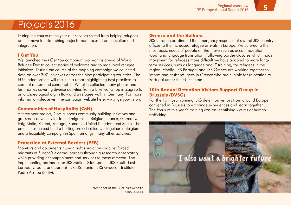## Projects 2016

During the course of the year our services shifted from helping refugees on the move to establishing projects more focused on education and integration.

#### **I Get You**

We launched the *I Get You* campaign two months ahead of World Refugee Day to collect stories of welcome and to map local refugee initiatives. During the course of the mapping campaign we collected data on over 300 initiatives across the nine participating countries. The EU-funded project will result in a report highlighting best practices to combat racism and xenophobia. We also collected many photos and testimonies covering diverse activities from a bike workshop in Zagreb to an archaeological dig in Italy and a refugee walk in Germany. For more information please visit the campaign website here: www.igetyou-jrs.org

#### **Communities of Hospitality (CoH)**

A three-year project, CoH supports community building initiatives and grassroots advocacy for forced migrants in Belgium, France, Germany, Italy, Malta, Poland, Portugal, Romania, United Kingdom and Spain. The project has helped fund a hosting project called Up Together in Belgium and a hospitality campaign in Spain amongst many other activities.

#### **Protection at External Borders (PEB)**

Monitors and documents human rights violations against forced migrants at Europe's external borders through a research observatory while providing accompaniment and services to those affected. The implementing partners are: JRS Malta - SJM Spain - JRS South-East Europe (Croatia and Serbia) - JRS Romania - JRS Greece - Instituto Pedro Arrupe (Sicily).

> Screenshot of the I Get You website. **© JRS europe**

#### **Greece and the Balkans**

JRS Europe coordinated the emergency response of several JRS country offices to the increased refugee arrivals in Europe. We catered to the most basic needs of people on the move such as accommodation, food, and language translation. Following border closures which made movement for refugees more difficult we have adapted to more longterm services, such as language and IT training, for refugees in the region. Finally, JRS Portugal and JRS Greece are working together to inform and assist refugees in Greece who are eligible for relocation to Portugal under the EU scheme.

#### **10th Annual Detention Visitors Support Group in Brussels (DVSG)**

For the 10th year running, JRS detention visitors from around Europe convened in Brussels to exchange experiences and learn together. The focus of this year's training was on identifying victims of human trafficking.

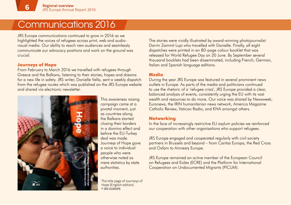### Communications 2016

JRS Europe communications continued to grow in 2016 as we highlighted the voices of refugees across print, web and audiovisual media. Our ability to reach new audiences and seamlessly communicate our advocacy positions and work on the ground was crucial.

#### **Journeys of Hope**

From February to March 2016 we travelled with refugees through Greece and the Balkans, listening to their stories, hopes and dreams for a new life in safety. JRS writer, Danielle Vella, sent a weekly dispatch from the refugee routes which was published on the JRS Europe website and shared via electronic newsletter.



This awareness raising campaign came at a pivotal moment, just as countries along the Balkans started closing their borders in a domino effect and before the EU-Turkey deal was made. Journeys of Hope gave a voice to individual people who were otherwise noted as mere statistics by state authorities.

The title page of Journeys of Hope (English edition). **© JRS europe**

The stories were vividly illustrated by award-winning photojournalist Darrin Zammit Lupi who travelled with Danielle. Finally, all eight dispatches were printed in an 80-page colour booklet that was released for World Refugee Day on 20 June. By September several thousand booklets had been disseminated, including French, German, Italian and Spanish language editions.

#### **Media**

During the year JRS Europe was featured in several prominent news outlets in Europe. As parts of the media and politicians continued to use the rhetoric of a 'refugee crisis', JRS Europe provided a clear, balanced analysis of events, consistently urging the EU with its vast wealth and resources to do more. Our voice was shared by Newsweek, Euronews, the IRIN humanitarian news network, America Magazine Catholic Review, Vatican Radio, and KNA amongst others.

#### **Networking**

In the face of increasingly restrictive EU asylum policies we reinforced our cooperation with other organisations who support refugees.

JRS Europe engaged and cooperated regularly with civil society partners in Brussels and beyond – from Caritas Europa, the Red Cross and Oxfam to Amnesty Europe.

JRS Europe remained an active member of the European Council on Refugees and Exiles (ECRE) and the Platform for International Cooperation on Undocumented Migrants (PICUM).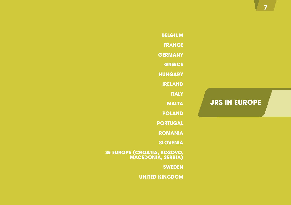### **JRS in Europe**

**Belgium France Germany Greece Hungary Ireland Italy Malta Poland Portugal Romania Slovenia**

**SE EUROPE (CROATIA, KOSOVO, MACEDONIA, serbia)**

**Sweden**

**United Kingdom**

**7**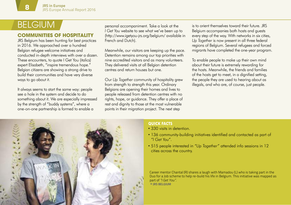## BELGIUM

**88**

#### **Communities of hospitality**

JRS Belgium has been hunting for best practices in 2016. We approached over a hundred Belgian refugee welcome initiatives and conducted in-depth interviews with over a dozen. These encounters, to quote I Get You (italics) expert Elisabeth, "inspire tremendous hope." Belgian citizens are showing a strong drive to build their communities and have very diverse ways to go about it.

It always seems to start the same way: people see a hole in the system and decide to do something about it. We are especially impressed by the strength of "buddy systems", where a one-on-one partnership is formed to enable a

personal accompaniment. Take a look at the *I Get You* website to see what we've been up to (http://www.igetyou-jrs.org/belgium/ available in French and Dutch).

Meanwhile, our visitors are keeping up the pace. Detention remains among our top priorities with nine accredited visitors and as many volunteers. They delivered visits at all Belgian detention centres and return houses but one.

Our *Up Together* community of hospitality grew from strength to strength this year. Ordinary Belgians are opening their homes and lives to people released from detention centres with no rights, hope, or guidance. They offer a place of rest and dignity to those at the most vulnerable points in their migration project. The next step

is to orient themselves toward their future. JRS Belgium accompanies both hosts and guests every step of the way. With networks in six cities, *Up Together* is now present in all three federal regions of Belgium. Several refugees and forced migrants have completed the one-year program.

To enable people to make up their own mind about their future is extremely rewarding for the hosts. Meanwhile, the friends and families of the hosts get to meet, in a dignified setting, the people they are used to hearing about as illegals, and who are, of course, just people.



#### **Quick facts**

- 330 visits in detention.
- 136 community-building initiatives identified and contacted as part of *"I Get You"*.
- 515 people interested in *"Up Together"* attended info sessions in 12 cities across the country.

Career mentor Chantal (R) shares a laugh with Mamadou (L) who is taking part in the Duo for a Job scheme to help re-build his life in Belgium. This initiative was mapped as part of "I Get You". **© JRS Belgium**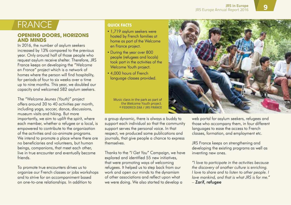## **FRANCE**

#### **Opening doors, horizons and minds**

In 2016, the number of asylum seekers increased by 13% compared to the previous year. Only around half of those people who request asylum receive shelter. Therefore, JRS France keeps on developing the *"Welcome en France"* project which is a network of homes where the person will find hospitality, for periods of four to six weeks over a time up to nine months. This year, we doubled our capacity and welcomed 582 asylum seekers.

The *"Welcome Jeunes (Youth)"* project offers around 30 to 40 activities per month, including yoga, soccer, dance, discussions, museum visits and hiking. But more importantly, we aim to uplift the spirit, where each member, whether a refugee or a local, is empowered to contribute to the organization of the activities and co-animate programs. We intend to promote a place where there are no beneficiaries and volunteers, but human beings, companions, that meet each other, live in true encounter and eventually become friends.

To promote true encounters drives us to organize our French classes or jobs workshops and to strive for an accompaniment based on one-to-one relationships. In addition to

#### **Quick facts**

- 1,719 asylum seekers were hosted by French families at home as part of the Welcome en France project.
- During the year over 800 people (refugees and locals) took part in the activities of the Welcome Youth project.
- 4,000 hours of French language classes provided.

Music class in the park as part of the Welcome Youth project. **© Federico Zaa / JRS France**

a group dynamic, there is always a buddy to support each individual so that the community support serves the personal voice. In that respect, we produced some publications and journals, that give people a chance to express themselves.

Thanks to the *"I Get You"* Campaign, we have explored and identified 55 new initiatives, that were promoting ways of welcoming refugees. It helped us to step back from our work and open our minds to the dynamism of other associations and reflect upon what we were doing. We also started to develop a



web portal for asylum seekers, refugees and those who accompany them, in four different languages to ease the access to French classes, formation, and employment etc.

JRS France keeps on strengthening and developing the existing programs as well as inventing new ones.

*"I love to participate in the activities because the discovery of another culture is enriching. I love to share and to listen to other people. I love mankind, and that is what JRS is for me."* – Zarif, refugee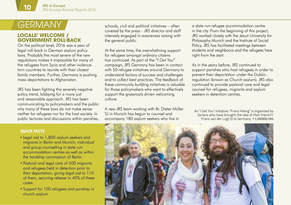## **GERMANY**

#### **Locals' welcome / government roll-back**

On the political level, 2016 was a year of legal roll-back in German asylum policy laws. Probably the most severe of the new regulations makes it impossible for many of the refugees from Syria and other violencetorn countries to reunite with their closest family members. Further, Germany is pushing mass deportations to Afghanistan.

JRS has been fighting this severely negative policy trend, lobbying for a more just and reasonable approach. JRS has been communicating to policymakers and the public why many of these laws do not make sense neither for refugees nor for the host society. In public lectures and discussions within parishes,

schools, civil and political initiatives – often covered by the press - JRS director and staff intensely engaged in awareness raising with the general public.

At the same time, the overwhelming support for refugees amongst ordinary citizens has continued. As part of the *"I Get You"* campaign, JRS Germany has been in contact with 50 refugee initiatives around Germany to understand factors of success and challenges and to collect best practices. The feedback of these community building initiatives is valuable for those policymakers who want to effectively support the grassroots driven welcoming culture.

A new JRS team working with Br. Dieter Müller SJ in Munich has begun to counsel and accompany 180 asylum seekers who live in

a state-run refugee accommodation centre in the city. From the beginning of this project, JRS worked closely with the Jesuit University for Philosophy Munich and the Institute of Social Policy. JRS has facilitated meetings between students and neighbours and the refugees here right from the start.

As in the years before, JRS continued to support parishes who host refugees in order to prevent their deportation under the Dublinregulation (known as Church asylum). JRS also continued to provide pastoral care and legal counsel for refugees, migrants and asylum seekers in detention centres.

An "I Get You" initiative: "Frans Hiking" is organised by Syrians who have brought the idea of their friend Fr Frans van der Lugt SJ to Germany. **© C.Ender/JRS**

#### **Quick facts**

- Legal aid to 1,800 asylum seekers and migrants in Berlin and Munich, individual and group counselling in state-run accommodation centres as well as within the hardship commission of Berlin.
- Pastoral and legal care of 500 migrants and refugees held in detention prior to their deportation, giving legal aid to 110 of them, securing release in 40% of these cases.
- Support for 100 refugees and parishes in church asylum.

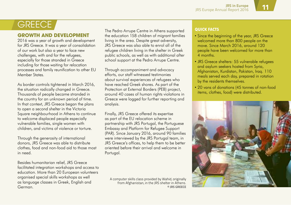## **GREECE**

#### **GROWTH AND DEVELOPMENT**

2016 was a year of growth and development for JRS Greece. It was a year of consolidation of our work but also a year to face new challenges, with and for the refugees, especially for those stranded in Greece including for those waiting for relocation processes and family reunification to other EU Member States.

As border controls tightened in March 2016, the situation radically changed in Greece. Thousands of people became stranded in the country for an unknown period of time. In that context, JRS Greece began the plans to open a second shelter in the Victoria Square neighbourhood in Athens to continue to welcome displaced people especially vulnerable families, single women with children, and victims of violence or torture.

Through the generosity of international donors, JRS Greece was able to distribute clothes, food and non-food aid to those most in need.

Besides humanitarian relief, JRS Greece facilitated integration workshops and access to education. More than 20 European volunteers organised special skills workshops as well as language classes in Greek, English and German.

The Pedro Arrupe Centre in Athens supported the education 158 children of migrant families living in the area. Despite great adversity, JRS Greece was also able to enrol all of the refugee children living in the shelter in Greek public schools, as well as with additional after school support at the Pedro Arrupe Centre.

Through accompaniment and advocacy efforts, our staff witnessed testimonies about survival experiences of refugees who have reached Greek shores. As part of the Protection at External Borders (PEB) project, around 40 cases of human rights violations in Greece were logged for further reporting and analysis.

Finally, JRS Greece offered its expertise as part of the EU relocation scheme in partnership with JRS Portugal, the Portuguese Embassy and Platform for Refugee Support (PAR). Since January 2016, around 90 families were interviewed by the JRS Portugal team, in JRS Greece's offices, to help them to be better oriented before their arrival and welcome in Portugal.

A computer skills class provided by Wahid, originally from Afghanistan, in the JRS shelter in Athens. **© JRS Greece**

#### **Quick facts**

- Since the beginning of the year, JRS Greece welcomed more than 800 people on the move. Since March 2016, around 120 people have been welcomed for more than 4 months.
- JRS Greece shelters: 55 vulnerable refugees and asylum seekers hosted from Syria, Afghanistan, Kurdistan, Pakistan, Iraq. 110 meals served each day, prepared in rotation by the residents themselves.
- 20 vans of donations (45 tonnes of non-food items, clothes, food) were distributed.

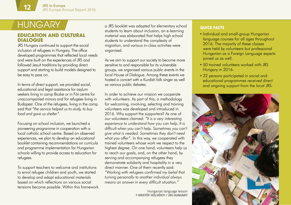#### **EDUCATION AND CULTURAL dialogue**

JRS Hungary continued to support the social inclusion of refugees in Hungary. The office developed programmes that reflected local needs and were built on the experiences of JRS and followed Jesuit traditions by providing direct support and starting to build models designed to be easy to pass on.

In terms of direct support, we provided social, educational and legal assistance for asylum seekers living in camp Bicske or in Fót centre for unaccompanied minors and for refugees living in Budapest. One of the refugees, living in the camp said that *"the service helped us to study, to buy food and gave us shelter"*.

Focusing on school inclusion, we launched a pioneering programme in cooperation with a local catholic school centre. Based on observed experiences, we plan to develop an educational booklet containing recommendations on curricula and programme implementation for Hungarian schools willing to provide access to education for refugees.

To support teachers to welcome and institutions to enrol refugee children and youth, we started to develop and adapt educational materials based on which reflections on various social tensions become possible. Within this framework

HUNGARY a JRS booklet was adapted for elementary school **QUICK FACTS** students to learn about inclusion, an e-learning material was elaborated that helps high school students to understand the complexity of migration, and various in-class activities were organised.

> As we aim to support our society to become more sensitive to and responsible for its vulnerable groups, we organised various public events in the local House of Dialogue. Among these events we hosted a concert with a Kurdish folk singer as well as various public debates.

In order to achieve our mission we cooperate with volunteers. As part of this, a methodology for welcoming, involving, selecting and training volunteers was developed and introduced in 2016. Why support the supporters? As one of our volunteers claimed: *"It is a very interesting experience to understand how you can help. It is difficult when you can't help. Sometimes you can't give what is needed. Sometimes they don't need what you offer"*. In this way, we cooperated with trained volunteers whose work we respect to the highest degree. On one hand, volunteers help us to reach our goals, and, on the other hand, by serving and accompanying refugees they demonstrate solidarity and hospitality in a very direct manner. One of them recently said: *"Working with refugees confirmed my belief that turning personally to another individual always means an answer in every difficult situation."*

> Hungarian language lesson **© Kristóf Hölvényi / JRS Hungary**

- Individual and small-group Hungarian language courses for all ages throughout 2016. The majority of these classes were held by volunteers but professional Hungarian as a Foreign Language experts joined us as well.
- 50 trained volunteers worked with JRS Hungary in 2016.
- 22 persons participated in social and educational programmes received direct and ongoing support from the local JRS.

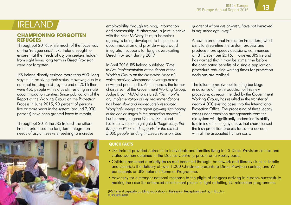#### **Championing forgotten refugees**

Throughout 2016, while much of the focus was on the 'refugee crisis', JRS Ireland sought to ensure that the needs of asylum seekers hidden from sight living long term in Direct Provision were not forgotten.

JRS Ireland directly assisted more than 500 'long stayers' in resolving their status. However, due to a national housing crisis, by the end of 2016 there were 450 people with status still residing in state accommodation centres. Since publication of the Report of the Working Group on the Protection Process in June 2015, 90 percent of persons five or more years in the system (around 2,000 persons) have been granted leave to remain.

Throughout 2016 the JRS Ireland Transition Project prioritised the long-term integration needs of asylum seekers, seeking to increase employability through training, information and sponsorship. Furthermore, a joint initiative with the Peter McVerry Trust, a homeless agency, is being developed to help secure accommodation and provide wraparound integration supports for long stayers exiting Direct Provision during 2017.

In April 2016 JRS Ireland published *'Time to Act: Implementation of the Report of the Working Group on the Protection Process'*, which received widespread coverage across news and print media. At the launch, the former chairperson of the Government Working Group, Judge Bryan McMahon, stated: *"Ten months on, implementation of key recommendations has been slow and inadequately resourced. Worryingly, delays are again growing significantly at the earlier stages in the protection process"*. Furthermore, Eugene Quinn, JRS Ireland National Director, highlighted: *"Regrettably, the living conditions and supports for the almost 5,000 people residing in Direct Provision, one* 

IRELAND *quarter of whom are children, have not improved in any meaningful way."*

> A new International Protection Procedure, which aims to streamline the asylum process and produce more speedy decisions, commenced on 31 December 2016. However, JRS Ireland has warned that it may be some time before the anticipated benefits of a single application procedure reducing waiting times for protection decisions are realised.

The failure to resolve outstanding backlogs in advance of the introduction of this new procedure, as recommended by the Government Working Group, has resulted in the transfer of nearly 4,000 existing cases into the International Protection Office. The processing of these legacy cases under transition arrangements from the old system will significantly undermine its ability to eliminate the lengthy delays that characterised the Irish protection process for over a decade, with all the associated human costs.



#### **Quick facts**

- JRS Ireland provided outreach to individuals and families living in 13 Direct Provision centres and visited women detained in the Dóchas Centre (a prison) on a weekly basis.
- Children remained a priority focus and benefited through: homework and literacy clubs in Dublin and Limerick; the delivery of over 1,000 Christmas presents to Direct Provision centres; and 97 participants on JRS Ireland's Summer Programme.
- Advocacy for a stronger national response to the plight of refugees arriving in Europe, successfully making the case for enhanced resettlement places in light of failing EU relocation programmes.

JRS Ireland capacity building workshop in Balseskin Reception Centre, in Dublin. **© JRS Ireland**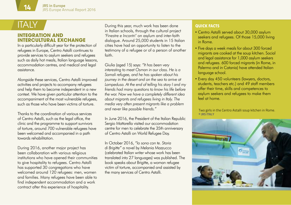## italy

#### **INTEGRATION AND intercultural exchange**

In a particularly difficult year for the protection of refugees in Europe, Centro Astalli continues to provide services to asylum seekers and refugees such as daily hot meals, Italian language lessons, accommodation centres, and medical and legal assistance.

Alongside these services, Centro Astalli improved activities and projects to accompany refugees and help them to become independent in a new context. We have given particular attention to the accompaniment of the most vulnerable refugees, such as those who have been victims of torture.

Thanks to the coordination of various services of Centro Astalli, such as the legal office, the clinic and the programme to support survivors of torture, around 700 vulnerable refugees have been welcomed and accompanied in a path towards rehabilitation.

During 2016, another major project has been collaboration with various religious institutions who have opened their communities to give hospitality to refugees. Centro Astalli has supported 30 congregations who have welcomed around 120 refugees: men, women and families. Many refugees have been able to find independent accommodation and a work contract after this experience of hospitality.

During this year, much work has been done in Italian schools, through the cultural project *'Finestre e Incontri'* on asylum and inter-faith dialogue. Around 25,000 students in 15 Italian cities have had an opportunity to listen to the testimony of a refugee or of a person of another faith.

Giulia (aged 15) says: *"It has been very interesting to meet Osman in our class. He is a Somali refugee, and he has spoken about his journey in the desert and on the sea to arrive at Lampedusa. At the end of telling his story I and my friends had many questions to know his life before the war. Now we have a completely different idea about migrants and refugees living in Italy. The media very often present migrants like a problem and never like possible friends."*

In June 2016, the President of the Italian Republic Sergio Mattarella visited our accommodation centre for men to celebrate the 35th anniversary of Centro Astalli on World Refugee Day.

In October 2016, *"Io sono con te. Storia di Brigitte"* a novel by Melania Mazzucco (celebrated Italian writer whose work has been translated into 27 languages) was published. The book speaks about Brigitte, a woman refugee victim of torture, accompanied and assisted by the many services of Centro Astalli.

#### **Quick facts**

- Centro Astalli served about 30,000 asylum seekers and refugees. Of those 15,000 living in Rome.
- Five days a week meals for about 300 forced migrants are cooked at the soup kitchen. Social and legal assistance for 1,000 asylum seekers and refugees. 600 forced migrants (in Rome, in Palermo and in Catania) have attended Italian language school.
- Every day 450 volunteers (lawyers, doctors, students, teachers etc.) and 49 staff members offer their time, skills and competences to asylum seekers and refugees to make them feel at home.

Two girls in the Centro Astalli soup kitchen in Rome. **© JRS italy**

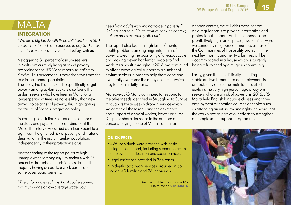## **MALTA**

### **Integration**

*"We are a big family with three children, I earn 500 Euros a month and I am expected to pay 350 Euros in rent. How can we survive?"* - Tesfay, Eritrea

A staggering 80 percent of asylum seekers in Malta are currently living at risk of poverty according to the JRS Malta report *Struggling to Survive*. This percentage is more than five times the rate in the general population.

The study, the first of its kind to specifically target poverty among asylum seekers also found that asylum seekers who have been in Malta for a longer period of time are no less likely than new arrivals to be at risk of poverty, thus highlighting the failure of Malta's integration policy.

According to Dr Julian Caruana, the author of the study and psychosocial coordinator at JRS Malta, the interviews carried out clearly point to a significant heightened risk of poverty and material deprivation in the asylum seeker population, independently of their protection status.

Another finding of the report points to high unemployment among asylum seekers, with 45 percent of household heads jobless despite the majority having access to a work permit and in some cases social benefits.

*"The unfortunate reality is that if you're earning minimum wage or low-average wage, you* 

*need both adults working not to be in poverty,"* Dr Caruana said. *"In an asylum-seeking context, that becomes extremely difficult."*

The report also found a high level of mental health problems among migrants at risk of poverty, creating the possibility of a vicious cycle and making it even harder for people to find work. As a result, throughout 2016, we continued to offer psychological support to a number of asylum seekers in order to help them cope and eventually overcome the many obstacles which they face on a daily basis.

Moreover, JRS Malta continued to respond to the other needs identified in Struggling to Survive through its twice weekly drop-in service which welcomes all those requiring the assistance and support of a social worker, lawyer or nurse. Despite a sharp decrease in the number of persons staying in one of Malta's detention

#### **Quick facts**

- 426 individuals were provided with basic integration support, including support to access employment, education and social services.
- Legal assistance provided in 254 cases.
- In-depth social work services provided in 66 cases (40 families and 26 individuals).

People hold hands during a JRS Malta event. **© JRS malta** or open centres, we still visits these centres on a regular basis to provide information and professional support. And in response to the prohibitively high rental prices, two families were welcomed by religious communities as part of the Communities of Hospitality project. In the next few months another two families will be accommodated in a house which is currently being refurbished by a religious community.

Lastly, given that the difficulty in finding stable and well-remunerated employment is undoubtedly one of the main factors which explains the very high percentage of asylum seekers who are at risk of poverty, in 2016, JRS Malta held English language classes and three employment orientation courses on topics such as attending an interview and rights/behaviour at the workplace as part of our efforts to strengthen our employment support programme.

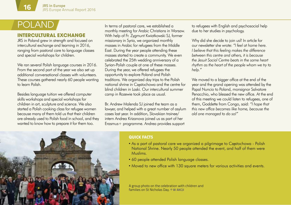#### **Intercultural exchange**

JRS in Poland grew in strength and focused on intercultural exchange and learning in 2016, ranging from pastoral care to language classes and special workshops for children.

We ran several Polish language courses in 2016. From the second part of the year we also set up additional conversational classes with volunteers. These courses gathered nearly 60 people wanting to learn Polish.

Besides language tuition we offered computer skills workshops and special workshops for children in art, sculpture and science. We also started a Polish cooking class for refugee women because many of them told us that their children are already used to Polish food in school, and they wanted to know how to prepare it for them too.

POLAND In terms of pastoral care, we established a monthly meeting for Arabic Christians in Warsaw. With help of Fr. Zygmunt Kwiatkowski SJ, former missionary in Syria, we organized monthly masses in Arabic for refugees from the Middle East. During the year people attending these masses started to create a community. We even celebrated the 25th wedding anniversary of a Syrian-Polish couple at one of these masses. During the year, we offered refugees the opportunity to explore Poland and Polish traditions. We organized day trips to the Polish national shrine in Częstochowa and the centre for blind children in Laski. Our intercultural summer camp in Rozewie took place as usual.

> Br. Andrew Malenda SJ joined the team as a lawyer, and helped with a great number of asylum cases last year. In addition, Slovakian trainee/ intern Andrea Krizanova joined us as part of her Erasmus+ programme. Andrea provides support

to refugees with English and psychosocial help due to her studies in psychology.

Why did she decide to join us? In article for our newsletter she wrote: *"I feel at home here. I believe that this feeling makes the difference between this centre and others, it is because the Jesuit Social Centre beats in the same heart rhythm as the heart of the people whom we try to help."*

We moved to a bigger office at the end of the year and the grand opening was attended by the Papal Nuncio to Poland, monsignor Salvatore Penacchio, who blessed the new office. At the end of this meeting we could listen to refugees, one of them, Goddette from Congo, said: *"I hope that this new office becomes like home, because the old one managed to do so!"*



#### **Quick facts**

- As a part of pastoral care we organized a pilgrimage to Czestochowa Polish National Shrine. Nearly 50 people attended the event, and half of them were Muslims.
- 60 people attended Polish language classes.
- Moved to new office with 130 square meters for various activities and events.

A group photo on the celebration with children and families on St Nicholas Day. **© W Akcji**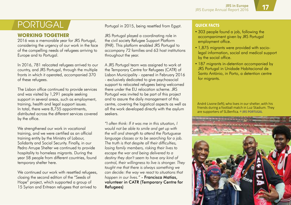### **PORTUGAL**

### **WORKING TOGETHER**

2016 was a memorable year for JRS Portugal, considering the urgency of our work in the face of the compelling needs of refugees arriving to Europe and to Portugal.

In 2016, 781 relocated refugees arrived to our country, and JRS Portugal, through the multiple fronts in which it operated, accompanied 370 of these refugees.

The Lisbon office continued to provide services and was visited by 1,291 people seeking support in several areas, such as employment, training, health and legal support issues. In total, there were 8,755 appointments, distributed across the different services covered by the office.

We strengthened our work in vocational training, and we were certified as an official training entity by the Ministry of Labour, Solidarity and Social Security. Finally, in our Pedro Arrupe Shelter we continued to provide hospitality to homeless migrants. During the year 58 people from different countries, found temporary shelter here.

We continued our work with resettled refugees, closing the second edition of the "Seeds of Hope" project, which supported a group of 15 Syrian and Eritrean refugees that arrived to

Portugal in 2015, being resettled from Egypt.

JRS Portugal played a coordinating role in the civil society Refugee Support Platform (PAR). This platform enabled JRS Portugal to accompany 72 families and 63 host institutions throughout the year.

A JRS Portugal team was assigned to work at the Temporary Centre for Refugees (CATR) of Lisbon Municipality - opened in February 2016 - exclusively dedicated to give psychosocial support to relocated refugees being welcomed there under the EU relocation scheme. JRS Portugal was invited to be part of this project and to assure the daily management of this centre, covering the logistical aspects as well as all the work developed directly with the asylum seekers.

*"I often think: If it was me in this situation, I would not be able to smile and get up with the will and strength to attend the Portuguese language classes or to be searching for a job. The truth is that despite all their difficulties, losing family members, risking their lives to escape the war and being delivered to a destiny they don't seem to have any kind of control, their willingness to live is stronger. They taught me that there is always something we can decide: the way we react to situations that happen in our lives."* - Francisca Matias, volunteer in CATR (Temporary Centre for Refugees)

#### **Quick facts**

- 303 people found a job, following the accompaniment given by JRS Portugal employment office.
- 1,875 migrants were provided with sociolegal information, social and medical support by the social office.
- 187 migrants in-detention accompanied by JRS Portugal in Unidade Habitacional de Santo António, in Porto, a detention centre for migrants.

André Livone (left), who lives in our shelter, with his friends during a football match in Luz Stadium. They are supporters of SLBenfica. **© JRS Portugal**

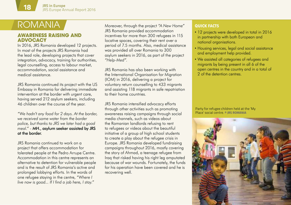## romania

#### **AWADENESS DAISING AND advocacy**

In 2016, JRS Romania developed 12 projects. In most of the projects JRS Romania had the lead role, developing projects that cover integration, advocacy, training for authorities, legal counselling, access to labour market, accommodation, social assistance and medical assistance.

JRS Romania continued its project with the US Embassy in Romania for delivering immediate intervention at the border with urgent care, having served 212 asylum seekers, including 46 children over the course of the year.

*"We hadn't any food for 2 days. At the border, we received some water from the border police, but thanks to JRS we later had a good meal."* - MH., asylum seeker assisted by JRS at the border.

JRS Romania continued to work on a project that offers accommodation for tolerated people at the Pedro Arrupe Centre. Accommodation in this centre represents an alternative to detention for vulnerable people and is the result of JRS Romania's active and prolonged lobbying efforts. In the words of one refugee staying in the centre, *"Where I live now is good... If I find a job here, I stay."*

Moreover, through the project *"A New Home"* JRS Romania provided accommodation incentives for more than 300 refugees in 115 locative spaces, covering their rent over a period of 7.5 months. Also, medical assistance was provided all over Romania to 300 asylum seekers in 2016, as part of the project *"Help-Med"*.

JRS Romania has also been working with the International Organisation for Migration (IOM) in 2016, delivering a project for voluntary return counselling to 433 migrants and assisting 118 migrants in safe repatriation to their home countries.

JRS Romania intensified advocacy efforts through other activities such as promoting awareness raising campaigns through social media channels, such as videos about the Romanian landlords refusing to rent to refugees or videos about the beautiful initiative of a group of high school students to create a play about the refugee crisis in Europe. JRS Romania developed fundraising campaigns throughout 2016, mostly covering the story of Ahmad, a teenage refugee from Iraq that risked having his right leg amputated because of war wounds. Fortunately, the funds for his operation have been covered and he is recovering well.

#### **Quick facts**

- 12 projects were developed in total in 2016 in partnership with both European and national organisations.
- Housing services, legal and social assistance and employment help provided.
- We assisted all categories of refugees and migrants by being present in all 6 of the open centres in the country and in a total of 2 of the detention centres.

Party for refugee children held at the 'My Place' social centre. **© JRS Romania**

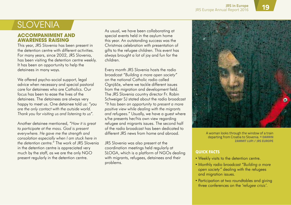### **SLOVENIA**

#### **Accompaniment and awareness raising**

This year, JRS Slovenia has been present in the detention centre with different activities. For many years, since 2002, JRS Slovenia, has been visiting the detention centre weekly. It has been an opportunity to help the detainees in many ways.

We offered psycho-social support, legal advice when necessary and special pastoral care for detainees who are Catholics. Our focus has been to ease the lives of the detainees. The detainees are always very happy to meet us. One detainee told us: *"you are the only contact with the outside world. Thank you for visiting us and listening to us"*.

Another detainee mentioned, *"How it is great to participate at the mass. God is present everywhere. He gave me the strength and consolation especially when I am stuck here in the detention centre."* The work of JRS Slovenia in the detention centre is appreciated very much by the staff, as we are the only NGO present regularly in the detention centre.

As usual, we have been collaborating at special events held in the asylum home this year. An outstanding success was the Christmas celebration with presentation of gifts to the refugee children. This event has always brought a lot of joy and fun for the children.

Every month JRS Slovenia hosts the radio broadcast *"Building a more open society"* on the national Catholic radio called Ognjišče, where we tackle different issues from the migration and development field. The JRS Slovenia country director Fr. Robin Schweiger SJ stated about the radio broadcast *"It has been an opportunity to present a more positive view while dealing with the migrants and refugees."* Usually, we have a guest where s/he presents her/his own view regarding refugee and migrants issues. The second half of the radio broadcast has been dedicated to different JRS news from home and abroad.

JRS Slovenia was also present at the coordination meetings held regularly at SLOGA, which is a platform of NGOs dealing with migrants, refugees, detainees and their problems.



A woman looks through the window of a train departing from Croatia to Slovenia. **© Darrin Zammit Lupi / JRS Europe**

#### **Quick facts**

- Weekly visits to the detention centre.
- Monthly radio broadcast *"Building a more open society"* dealing with the refugees and migration issues.
- Participation at two roundtables and giving three conferences on the *'refugee crisis'.*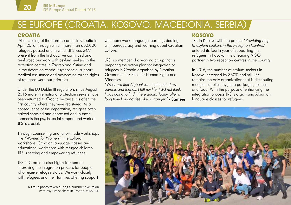### SE EUROPE (CROATIA, KOSOVO, MACEDONIA, serbia)

### **Croatia**

IAfter closing of the transits camps in Croatia in April 2016, through which more than 650,000 refugees passed and in which JRS was 24/7 present from the first day, we continued and reinforced our work with asylum seekers in the reception centres in Zagreb and Kutina and in the detention centre. Psychosocial support, medical assistance and advocating for the rights of refugees were our priorities.

Under the EU Dublin III regulation, since August 2016 more international protection seekers have been returned to Croatia because it is often the first country where they were registered. As a consequence of the deportation, refugees often arrived shocked and depressed and in these moments the psychosocial support and work of JRS is crucial.

Through counselling and tailor-made workshops like *"Women for Women"*, intercultural workshops, Croatian language classes and educational workshops with refugee children JRS is serving and empowering refugees.

JRS in Croatia is also highly focused on improving the integration process for people who receive refugee status. We work closely with refugees and their families offering support

> A group photo taken during a summer excursion with asylum seekers in Croatia. **© JRS see**

with homework, language learning, dealing with bureaucracy and learning about Croatian culture.

JRS is a member of a working group that is preparing the action plan for integration of refugees in Croatia organised by Croatian Government's Office for Human Rights and **Minorities** 

*"When we fled Afghanistan, I left behind my parents and friends, I left my life. I did not think I was going to find it here again. Today, after a long time I did not feel like a stranger."* - Sameer

### **Kosovo**

JRS in Kosovo with the project *"Providing help to asylum seekers in the Reception Centres"* entered its fourth year of supporting the refugees in Kosovo. It is a leading NGO partner in two reception centres in the country.

In 2016, the number of asylum seekers in Kosovo increased by 330% and still JRS remains the only organization that is distributing medical supplies, hygiene packages, clothes and food. With the purpose of enhancing the integration process JRS is organising Albanian language classes for refugees.

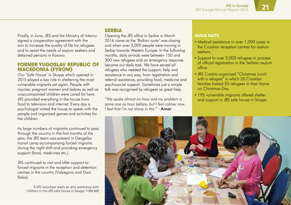Finally, in June, JRS and the Ministry of Interior signed a cooperation agreement with the aim to increase the quality of life for refugees and to assist the needs of asylum seekers and detained persons in Kosovo.

#### **Former Yugoslav Republic of Macedonia (FYROM)**

Our *'Safe House'* in Skopje which opened in 2015 played a key role in sheltering the most vulnerable migrants yet again. People with injuries, pregnant women and babies as well as unaccompanied children were cared for here. JRS provided everything in the house from food to television and internet. Every day a psychologist visited the house to speak with the people and organised games and activities for the children.

As large numbers of migrants continued to pass through the country in the first months of the year, the JRS team was present in Gevgelija transit camp accompanying forced migrants during the night shift and providing emergency support (food, medicines etc.).

JRS continued to visit and offer support to forced migrants in the reception and detention centres in the country (Vizbegovo and Gazi Baba).

> A JRS volunteer leads an arts workshop with children in the JRS safe house in Skopje. **© JRS see**

### **Serbia**

Opening the JRS office in Serbia in March 2016 came as the *'Balkan route'* was closing and when over 2,000 people were moving in Serbia towards Western Europe. In the following months, daily arrivals were between 150 and 300 new refugees and an emergency response became our daily task. We have served all refugees who needed the support, help and assistance in any way; from registration and referral assistance, providing food, medicine and psychosocial support. Sometimes just a simple talk was recognised by refugees as great help.

*"We spoke almost an hour and my problem is same one as hour before, but I feel calmer now. I feel that I'm not alone in this."* - Amar

#### **Quick facts**

- Medical assistance in over 1,000 cases in the Croatian reception centres for asylum seekers.
- Support to over 3,000 refugees in process of official registration in the Serbian asylum office.
- JRS Croatia organized "Christmas lunch with a refugee" in which 20 Croatian families hosted 55 refugees in their home on Christmas Day.
- 195 vulnerable migrants offered shelter and support in JRS safe house in Skopje.

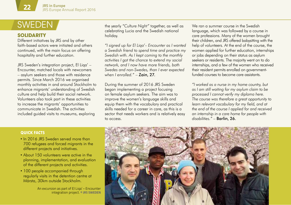## **SWEDEN**

### **SOLIDAPITY**

Different initiatives by JRS and by other faith-based actors were initiated and others continued, with the main focus on offering hospitality and further education.

JRS Sweden's integration project, El Liqa' – Encounter, matched locals with newcomers – asylum seekers and those with residence permits. Since March 2016 we organised monthly activities in and around Stockholm to enhance migrants' understanding of Swedish culture and help build their social network. Volunteers also took part in these activities to increase the migrants' opportunities to communicate in Swedish. The activities included guided visits to museums, exploring

the yearly *"Culture Night"* together, as well as celebrating Lucia and the Swedish national holiday.

*"I signed up for El Liqa'– Encounter as I wanted a Swedish friend to spend time and practice my Swedish with. As I kept coming to the monthly activities I got the chance to extend my social network, and I now have more friends, both Swedes and non-Swedes, than I ever expected when I enrolled."* – Zain, 27.

During the summer of 2016 JRS Sweden began implementing a project focusing on female asylum seekers. The aim was to improve the women's language skills and equip them with the vocabulary and practical skills needed for a career in care, as this is a sector that needs workers and is relatively easy to access.

We ran a summer course in the Swedish language, which was followed by a course in care professions. Many of the women brought their children, and JRS offered babysitting with the help of volunteers. At the end of the course, the women applied for further education, internships or jobs depending on their status as asylum seekers or residents. The majority went on to do internships, and a few of the women who received their resident permits enrolled on governmentfunded courses to become care assistants.

*"I worked as a nurse in my home country, but as I am still waiting for my asylum claim to be processed I cannot verify my diploma here. The course was therefore a great opportunity to learn relevant vocabulary for my field, and at the end of the course I applied for and received an internship in a care home for people with disabilities."* – Barlin, 26.

#### **Quick facts**

- In 2016 JRS Sweden served more than 700 refugees and forced migrants in the different projects and initiatives.
- About 150 volunteers were active in the planning, implementation, and evaluation of the different projects and activities.
- 100 people accompanied through regularly visits in the detention centre at Märsta, 30km outside Stockholm.

An excursion as part of El Liqa' – Encounter integration project. **© JRS sweden**

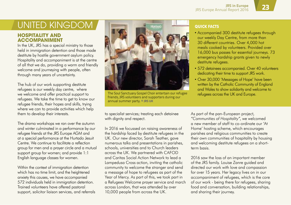#### **Hospitality and accompaniment**

In the UK, JRS has a special ministry to those held in immigration detention and those made destitute by hostile government asylum policy. Hospitality and accompaniment is at the centre of all that we do, providing a warm and friendly welcome and journeying with people, often through many years of uncertainty.

The hub of our work supporting destitute refugees is our weekly day centre, where we welcome and offer practical support to refugees. We take the time to get to know our refugee friends, their hopes and skills, trying where we can to provide activities which help them to develop their interests.

The drama workshops we ran over the autumn and winter culminated in a performance by our refugee friends at the JRS Europe AGM and at a special performance at the Hurtado Jesuit Centre. We continue to facilitate a reflection group for men and a prayer circle and a mutual support group for women; and provide 1:1 English language classes for women.

Within the context of immigration detention which has no time limit, and the heightened anxiety this causes, we have accompanied 572 individuals held in immigration detention. Trained volunteers have offered pastoral support, solicitor liaison services, and referrals



The Soul Sanctuary Gospel Choir entertain our refugee friends, JRS volunteers and supporters during our annual summer party. **© JRS UK**

to specialist services; treating each detainee with dignity and respect.

In 2016 we focussed on raising awareness of the hardship faced by destitute refugees in the UK. Our new director, Sarah Teather, gave numerous talks and presentations in parishes, schools, universities and to Church leaders across the UK. We partnered with CAFOD and Caritas Social Action Network to lead a Lampedusa Cross action, inviting the catholic community to welcome the stranger and send a message of hope to refugees as part of the Year of Mercy. As part of this, we took part in a Refugees Welcome prayer service and march across London, that was attended by over 10,000 people from across the UK.

- Accompanied 300 destitute refugees through our weekly Day Centre, from more than 30 different countries. Over 4,000 hot meals cooked by volunteers. Provided over 16,000 bus passes for essential journeys. 73 emergency hardship grants given to newly destitute refugees.
- 572 detainees accompanied. Over 40 volunteers dedicating their time to support JRS work.
- Over 30,000 'Messages of Hope' have been written by the Catholic Community of England and Wales to show solidarity and welcome to refugees across the UK and Europe.

As part of the pan-European project,

*"Communities of Hospitality"*, we welcomed a new member of staff to co-ordinate our 'At Home' hosting scheme, which encourages parishes and religious communities to create their own communities of hospitality by housing and welcoming destitute refugees on a shortterm basis.

2016 saw the loss of an important member of the JRS family. Louise Zanre guided and directed our work with love and compassion for over 15 years. Her legacy lives on in our accompaniment of refugees, which is the core of our work - being there for refugees, sharing food and conversation, building relationships, and sharing their journey.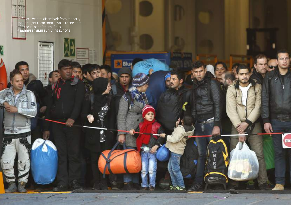Refugees wait to disembark from the ferry that brought them from Lesbos to the port of Piraeus, near Athens, Greece. **© Darrin Zammit Lupi / JRS Europe**

m

Blue

BI

MIKE

..

Ō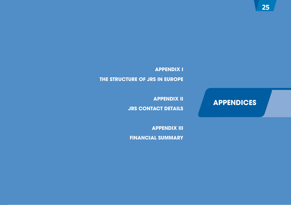### **APPENDICES**

**Appendix I The structure of JRS in Europe**

> **Appendix II JRS contact details**

**Appendix III Financial summary**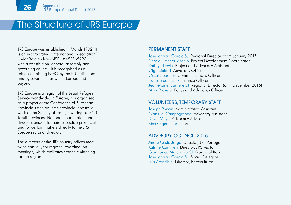### The Structure of JRS Europe

JRS Europe was established in March 1992. It is an incorporated "International Association" under Belgian law (AISBL #452165993), with a constitution, general assembly and governing council. It is recognised as a refugee-assisting NGO by the EU institutions and by several states within Europe and beyond.

JRS Europe is a region of the Jesuit Refugee Service worldwide. In Europe, it is organised as a project of the Conference of European Provincials and an inter-provincial apostolic work of the Society of Jesus, covering over 20 Jesuit provinces. National coordinators and directors answer to their respective provincials and for certain matters directly to the JRS Europe regional director.

The directors of the JRS country offices meet twice annually for regional coordination meetings, which facilitates strategic planning for the region.

#### Permanent Staff

Jose Ignacio Garcia SJ Regional Director (from January 2017) Carola Jimenez-Asenjo Project Development Coordinator Kathryn Doyle Project and Advocacy Assistant Olga Siebert Advocacy Officer Oscar Spooner Communications Officer Isabelle de Sazilly Finance Officer Jean-Marie Carrière SJ Regional Director (until December 2016) Mark Provera Policy and Advocacy Officer

#### Volunteers, Temporary Staff

Joseph Poncin Administrative Assistant Gianluigi Campogrande Advocacy Assistant David Moya Advocacy Adviser Max Olgemoller Intern

#### Advisory council 2016

Andre Costa Jorge Director, JRS Portugal Katrine Camilleri Director, JRS Malta Gianfranco Matarazzo SJ Provincial Italy Jose Ignacio Garcia SJ Social Delegate Luis Arancibia Director, Entreculturas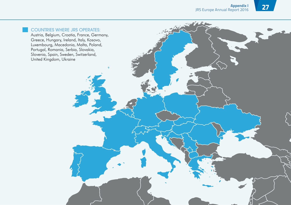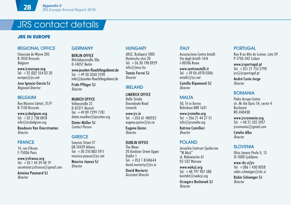### JRS contact details

### **JRS in europe**

#### REGIONAL OFFICE

Chaussée de Wavre 205 B-1050 Brussels Belgium

www.jrseurope.org Tel:  $+32$  (0)2 554 02 20 europe@jrs.net

Jose Ignacio Garcia SJ Regional Director

#### BELGIUM

Rue Maurice Liétart, 31/9 B-1150 Brussels

www.jrsbelgium.org Tel: +32 2 738 0818 info@jrsbelgium.org

Baudouin Van Overstraeten **Director** 

#### FRANCE

14, rue d'Assas F-75006 Paris

www.jrsfrance.org Tel:  $+33$  1 44 39 48 19 secretariat.jrsfrance@gmail.com

Antoine Paumard SJ **Director** 

#### **GERMANY**

Berlin office Witzlebenstraße 30a D-14057 Berlin

www.jesuiten-fluechtlingsdienst.de Tel:  $+493032602590$ info@jesuiten-fluechtlingsdienst.de

Frido Pflüger SJ **Director** 

#### Munich office

Valleystraße 22 D-81371 Munich Tel: +49 89 7299 7781 dieter.mueller@jesuiten.org

Dieter Müller SJ Contact Person

#### **GREECE**

Smyrnis Street 27 GR-10439 Athens Tel: +30 210 883 5911 maurice.joyeux@jrs.net

Maurice Joyeux SJ **Director** 

#### **HUNGARY**

JMSZ, Budapest 1085 Horánszky utca 20 Tel:  $+36.30$  198 8929 info@jmsz.hu

Tamás Forrai SJ **Director** 

#### IRELAND

Limerick office Della Strada Dooradoyle Road **Limerick** 

www.jrs.ie  $Tel: +35361480922$ eugene.guinn@irs.ie

Eugene Quinn **Director** 

#### DUBLIN OFFICE The Mews 20 Gardiner Street Upper Dublin 1 Tel: +353 1 8148644 david.moriarty@jrs.ie

David Moriarty Assistant Director

#### **ITAIY**

Associazione Centro Astalli Via degli Astalli 14/A I-00186 Rome

www.centroastalli.it Tel:  $+390669700306$ astalli@jrs.net

Camillo Ripamonti SJ **Director** 

#### MALTA

50, Tri ix-Xorrox Birkirkara BKR 1631

www.jrsmalta.org Tel:  $+35621442751$ info@jrsmalta.org

Katrine Camilleri **Director** 

#### POLAND

Jezuickie Centrum Społeczne "W Akcji" ul. Rakowiecka 61 02-532 Warsaw

www.wakcji.org Tel:  $+48$  797 907 588 kontakt@wakcji.org

Grzegorz Bochenek SJ **Director** 

#### **PORTUGAL**

Rua 8 ao Alto do Lumiar, Lote 59 P-1750-342 Lisbon

www.jrsportugal.pt Tel:  $+351$  21 755 2790  $irs@irsoortuaal.$ pt

André Costa Jorge **Director** 

#### ROMANIA

Pedro Arrupe Centre str. Mr Ilie Opris 54, sector 4 Bucharest RO-040438

www.jrsromania.org Tel:  $+40$  21 332 2457 jrsromania@gmail.com Catalin Albu **Director** 

#### **SLOVENIA**

Ulica Janeza Pavla II, 13 SI-1000 Ljubljana

www.rkc.si/jrs Tel: +386 1 430 0058 robin.schweiger@rkc.si

Robin Schweiger SJ **Director**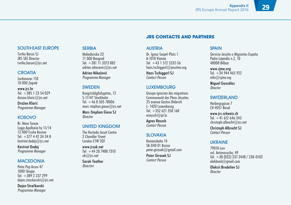### SOUTH-EAST EUROPE

Tvrtko Barun SJ JRS SEE Director tvrtko.barun@jrs.net

#### **CROATIA**

Jordanovac 110 10 000 Zagreb

www.jrs.hr Tel:  $+385$  1 23 54 029 drazen.klaric@jrs.net

Dražen Klarić Programme Manager

#### KOSOVO

Rr: Nëna Tereze Lagja Apollonia hy 11/14 12 000 Fushe Kosove Tel:  $+37744234348$ kastriot.dodaj@jrs.net

Kastriot Dodaj Programme Manager

#### **MACEDONIA**

Petar Pop Arsov 47 1000 Skopje Tel:  $+389.237799$ dejan.strackovski@jrs.net

Dejan Stračkovski Programme Manager

#### **SERBIA**

Makedonska 23 11 000 Beograd Tel: +381 11 3373 882 adrian.nikacevic@jrs.net

Adrian Nikačević Programme Manager

#### SWEDEN

Kungsträdgårdsgatan, 12 S-11147 Stockholm Tel:  $+46850578006$ marc-stephan.giese $@$ irs.net

Marc-Stephan Giese SJ **Director** 

#### UNITED KINGDOM

The Hurtado Jesuit Centre 2 Chandler Street London E1W 2QT

www.jrsuk.net Tel:  $+44$  20 7488 7310  $uk@$ irs.net

#### Sarah Teather **Directorr**

#### AUSTRIA

Dr. Ignaz-Seipel-Platz 1 A-1010 Vienna  $Tel· +43 1 512 5232-56$ hans.tschiggerl@jesuiten.org

**JRS CONTACTS AND PARTNERS**

Hans Tschiggerl SJ Contact Person

#### **LUXEMBOURG**

Groupe ignacien des migrations Communauté des Pères Jésuites 25 avenue Gaston Diderich L- 1420 Luxembourg Tel: +352 621 358 168 arausch@pt.lu

Agnes Rausch Contact Person

### SLOVAKIA

Komenskeho 14 SK-040 01 Kosice peter.girasek@gmail.com

Peter Girasek SJ Contact Person

#### **SPAIN**

Servicio Jesuita a Migrantes España Padre Lojendio n.2, 1D 48008 Bilbao

www.sjme.org Tel:  $+349444465922$ info@sjme.org

Miguel González **Director** 

#### **SWITZERLAND**

Herbergsgasse 7 CH 4051 Basel

www.jrs-schweiz.ch  $\text{Tel} \div 41, 612, 646, 343$ christoph.albrecht@jrs.net

Christoph Albrecht SJ Contact Person

#### UKRAINE

79018 Lviv vul. Antonovycha, 49 Tel: +38 (032) 237-2448 / 238-0103  $olekbred@amail.com$ 

Oleksii Bredeliev SJ **Director**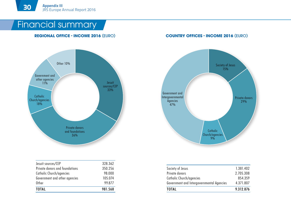### Financial summary

#### **Regional Office - Income 2016** (euro) **Country Offices - Income 2016** (euro)



| Jesuit sources/CEP             | 328.362 |
|--------------------------------|---------|
| Private donors and foundations | 350.256 |
| Catholic Church/agencies       | 98.000  |
| Government and other agencies  | 105.074 |
| Other                          | 99877   |
| TOTAL                          | 981.568 |



| <b>TOTAL</b>                              | 9.312.876 |
|-------------------------------------------|-----------|
| Government and Intergovernmental Agencies | 4.371.807 |
| Catholic Church/agencies                  | 854 359   |
| Private donors                            | 2.705.308 |
| Society of Jesus                          | 1 381 402 |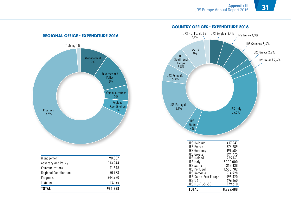

| Management                   | 90.887  |
|------------------------------|---------|
| Advocacy and Policy          | 113 944 |
| Communications               | 51348   |
| <b>Regional Coordination</b> | 50 973  |
| Programs                     | 644 990 |
| Training                     | 13.126  |
| TOTAI                        | 965.268 |

#### **Country Offices - Expenditure 2016**